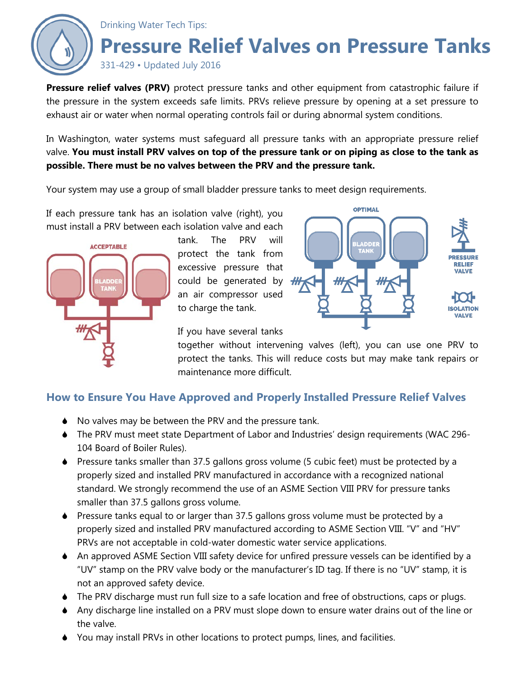

**Pressure relief valves (PRV)** protect pressure tanks and other equipment from catastrophic failure if the pressure in the system exceeds safe limits. PRVs relieve pressure by opening at a set pressure to exhaust air or water when normal operating controls fail or during abnormal system conditions.

In Washington, water systems must safeguard all pressure tanks with an appropriate pressure relief valve. **You must install PRV valves on top of the pressure tank or on piping as close to the tank as possible. There must be no valves between the PRV and the pressure tank.**

Your system may use a group of small bladder pressure tanks to meet design requirements.

If each pressure tank has an isolation valve (right), you must install a PRV between each isolation valve and each



tank. The PRV will protect the tank from excessive pressure that could be generated by  $#$ an air compressor used to charge the tank.



If you have several tanks

together without intervening valves (left), you can use one PRV to protect the tanks. This will reduce costs but may make tank repairs or maintenance more difficult.

## **How to Ensure You Have Approved and Properly Installed Pressure Relief Valves**

- ◆ No valves may be between the PRV and the pressure tank.
- The PRV must meet state Department of Labor and Industries' design requirements (WAC 296- 104 Board of Boiler Rules).
- Pressure tanks smaller than 37.5 gallons gross volume (5 cubic feet) must be protected by a properly sized and installed PRV manufactured in accordance with a recognized national standard. We strongly recommend the use of an ASME Section VIII PRV for pressure tanks smaller than 37.5 gallons gross volume.
- Pressure tanks equal to or larger than 37.5 gallons gross volume must be protected by a properly sized and installed PRV manufactured according to ASME Section VIII. "V" and "HV" PRVs are not acceptable in cold-water domestic water service applications.
- An approved ASME Section VIII safety device for unfired pressure vessels can be identified by a "UV" stamp on the PRV valve body or the manufacturer's ID tag. If there is no "UV" stamp, it is not an approved safety device.
- ◆ The PRV discharge must run full size to a safe location and free of obstructions, caps or plugs.
- Any discharge line installed on a PRV must slope down to ensure water drains out of the line or the valve.
- You may install PRVs in other locations to protect pumps, lines, and facilities.